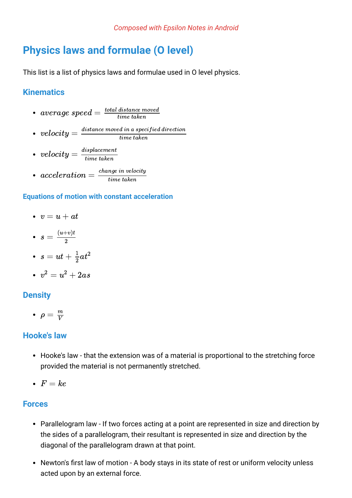# **Physics laws and formulae (O level)**

This list is a list of physics laws and formulae used in O level physics.

## **Kinematics**

- $average\ speed = \frac{total\ distance\ moved}{time\ taken}$ time taken
- $velocity = \frac{distance \ moved \ in \ a \ specified \ direction}{time \ taken}$ time taken
- $velocity = \frac{displacement}{time\ taken}$ time taken
- $acceleration = \frac{change\ in\ velocity}{time\ taken}$ time taken

#### **Equations of motion with constant acceleration**

- $v = u + at$
- $s = \frac{(u+v)t}{2}$  $\overline{2}$
- $s=ut+\frac{1}{2}at^2$  $\overline{2}$
- $v^2=u^2+2as$

### **Density**

 $\rho = \frac{m}{V}$ V

### **Hooke's law**

- Hooke's law that the extension was of a material is proportional to the stretching force provided the material is not permanently stretched.
- $F = ke$

### **Forces**

- Parallelogram law If two forces acting at a point are represented in size and direction by the sides of a parallelogram, their resultant is represented in size and direction by the diagonal of the parallelogram drawn at that point.
- Newton's first law of motion A body stays in its state of rest or uniform velocity unless acted upon by an external force.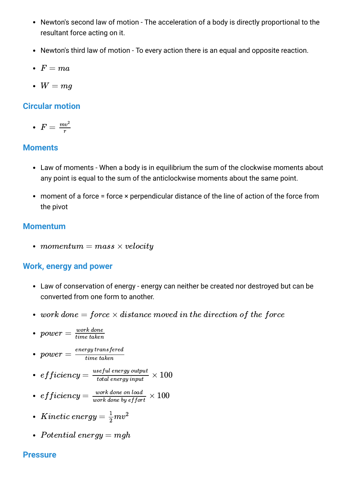- Newton's second law of motion The acceleration of a body is directly proportional to the resultant force acting on it.
- Newton's third law of motion To every action there is an equal and opposite reaction.
- $F = ma$
- $W = mq$

## **Circular motion**

• 
$$
F = \frac{mv^2}{r}
$$

### **Moments**

- Law of moments When a body is in equilibrium the sum of the clockwise moments about any point is equal to the sum of the anticlockwise moments about the same point.
- moment of a force = force × perpendicular distance of the line of action of the force from the pivot

## **Momentum**

• momentum  $=$  mass  $\times$  velocity

## **Work, energy and power**

- Law of conservation of energy energy can neither be created nor destroyed but can be converted from one form to another.
- work done  $=$  force  $\times$  distance moved in the direction of the force
- $power = \frac{work\ done}{time\ taken}$ time taken

 $power = \frac{\textit{energy transfered}}{\textit{time taken}}$ time taken

- $efficiency = \frac{useful\ energy\ output}{total\ energy\ input} \times 100$ total energy input
- $efficiency = \frac{work\,done\,on\,load}{work\,done\,bu\,effort} \times 100$ work done by effort
- $Kinetic\ energy=\frac{1}{2}mv^2$  $\overline{2}$
- Potential energy  $= mgh$

### **Pressure**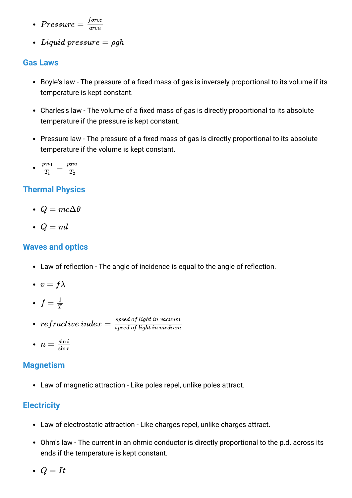- $Pressure=\frac{force}{area}$ area
- Liquid pressure  $= \rho gh$

## **Gas Laws**

- Boyle's law The pressure of a fixed mass of gas is inversely proportional to its volume if its temperature is kept constant.
- Charles's law The volume of a fixed mass of gas is directly proportional to its absolute temperature if the pressure is kept constant.
- Pressure law The pressure of a fixed mass of gas is directly proportional to its absolute temperature if the volume is kept constant.
- $\frac{p_1v_1}{\pi} =$  $\scriptstyle T_1$  $p_2v_2$  $\scriptstyle T_2$

# **Thermal Physics**

- $Q = mc\Delta\theta$
- $Q = ml$

## **Waves and optics**

- Law of reflection The angle of incidence is equal to the angle of reflection.
- $v = f\lambda$
- $f=\frac{1}{T}$
- $\begin{equation} \begin{aligned} \textit{refractive index} = \frac{\textit{speed of light in vacuum}}{\textit{speed of light in medium}} \end{aligned} \end{equation}$ speed of light in medium
- $n=\frac{\sin i}{\sin r}$  $\sin r$

## **Magnetism**

Law of magnetic attraction - Like poles repel, unlike poles attract.

# **Electricity**

- Law of electrostatic attraction Like charges repel, unlike charges attract.
- Ohm's law The current in an ohmic conductor is directly proportional to the p.d. across its ends if the temperature is kept constant.
- $\bullet$   $Q = It$